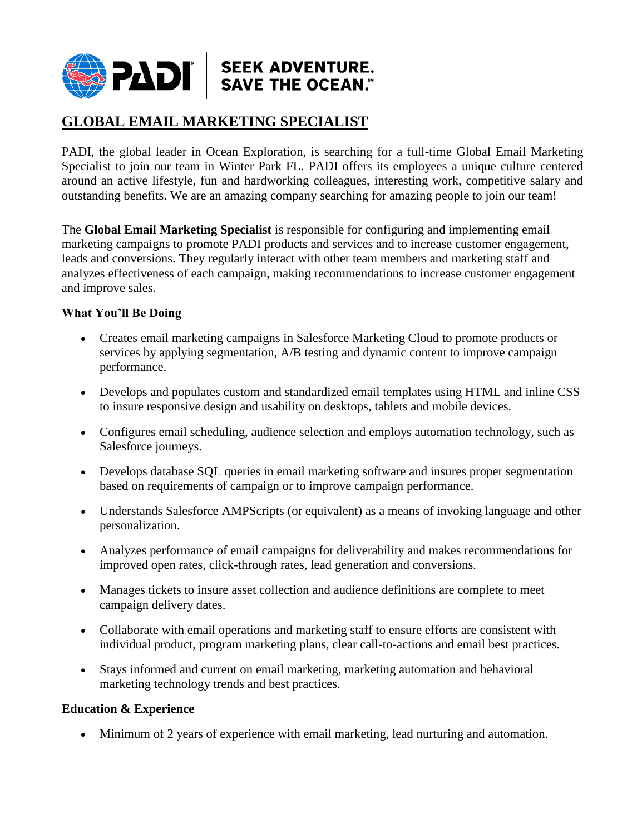

## **GLOBAL EMAIL MARKETING SPECIALIST**

PADI, the global leader in Ocean Exploration, is searching for a full-time Global Email Marketing Specialist to join our team in Winter Park FL. PADI offers its employees a unique culture centered around an active lifestyle, fun and hardworking colleagues, interesting work, competitive salary and outstanding benefits. We are an amazing company searching for amazing people to join our team!

The **Global Email Marketing Specialist** is responsible for configuring and implementing email marketing campaigns to promote PADI products and services and to increase customer engagement, leads and conversions. They regularly interact with other team members and marketing staff and analyzes effectiveness of each campaign, making recommendations to increase customer engagement and improve sales.

## **What You'll Be Doing**

- Creates email marketing campaigns in Salesforce Marketing Cloud to promote products or services by applying segmentation, A/B testing and dynamic content to improve campaign performance.
- Develops and populates custom and standardized email templates using HTML and inline CSS to insure responsive design and usability on desktops, tablets and mobile devices.
- Configures email scheduling, audience selection and employs automation technology, such as Salesforce journeys.
- Develops database SQL queries in email marketing software and insures proper segmentation based on requirements of campaign or to improve campaign performance.
- Understands Salesforce AMPScripts (or equivalent) as a means of invoking language and other personalization.
- Analyzes performance of email campaigns for deliverability and makes recommendations for improved open rates, click-through rates, lead generation and conversions.
- Manages tickets to insure asset collection and audience definitions are complete to meet campaign delivery dates.
- Collaborate with email operations and marketing staff to ensure efforts are consistent with individual product, program marketing plans, clear call-to-actions and email best practices.
- Stays informed and current on email marketing, marketing automation and behavioral marketing technology trends and best practices.

## **Education & Experience**

Minimum of 2 years of experience with email marketing, lead nurturing and automation.